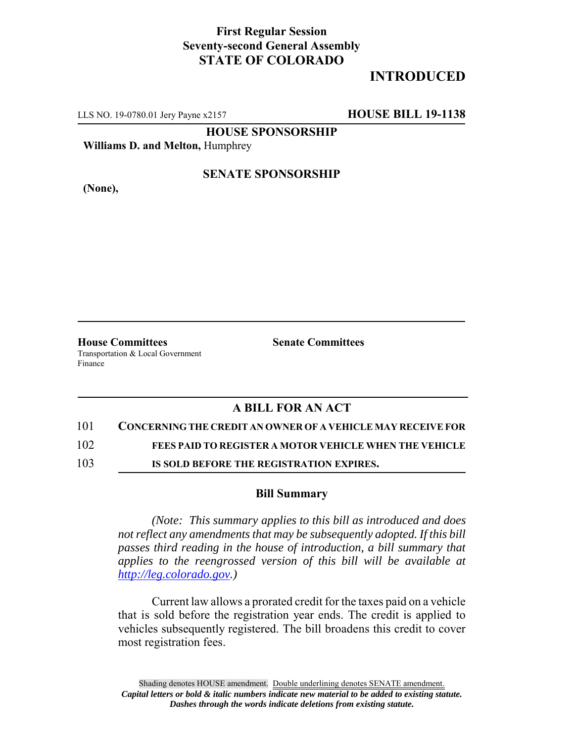## **First Regular Session Seventy-second General Assembly STATE OF COLORADO**

# **INTRODUCED**

LLS NO. 19-0780.01 Jery Payne x2157 **HOUSE BILL 19-1138**

**HOUSE SPONSORSHIP**

**Williams D. and Melton,** Humphrey

**(None),**

#### **SENATE SPONSORSHIP**

**House Committees Senate Committees** Transportation & Local Government Finance

### **A BILL FOR AN ACT**

#### 101 **CONCERNING THE CREDIT AN OWNER OF A VEHICLE MAY RECEIVE FOR**

102 **FEES PAID TO REGISTER A MOTOR VEHICLE WHEN THE VEHICLE**

103 **IS SOLD BEFORE THE REGISTRATION EXPIRES.**

#### **Bill Summary**

*(Note: This summary applies to this bill as introduced and does not reflect any amendments that may be subsequently adopted. If this bill passes third reading in the house of introduction, a bill summary that applies to the reengrossed version of this bill will be available at http://leg.colorado.gov.)*

Current law allows a prorated credit for the taxes paid on a vehicle that is sold before the registration year ends. The credit is applied to vehicles subsequently registered. The bill broadens this credit to cover most registration fees.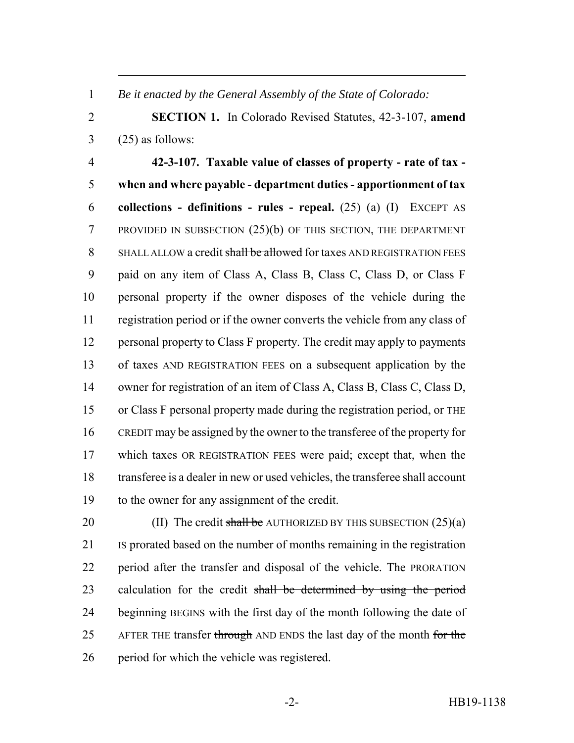*Be it enacted by the General Assembly of the State of Colorado:*

 **SECTION 1.** In Colorado Revised Statutes, 42-3-107, **amend**  $3 \qquad (25)$  as follows:

 **42-3-107. Taxable value of classes of property - rate of tax - when and where payable - department duties - apportionment of tax collections - definitions - rules - repeal.** (25) (a) (I) EXCEPT AS PROVIDED IN SUBSECTION (25)(b) OF THIS SECTION, THE DEPARTMENT 8 SHALL ALLOW a credit shall be allowed for taxes AND REGISTRATION FEES paid on any item of Class A, Class B, Class C, Class D, or Class F personal property if the owner disposes of the vehicle during the registration period or if the owner converts the vehicle from any class of personal property to Class F property. The credit may apply to payments of taxes AND REGISTRATION FEES on a subsequent application by the owner for registration of an item of Class A, Class B, Class C, Class D, or Class F personal property made during the registration period, or THE CREDIT may be assigned by the owner to the transferee of the property for which taxes OR REGISTRATION FEES were paid; except that, when the transferee is a dealer in new or used vehicles, the transferee shall account to the owner for any assignment of the credit.

20 (II) The credit shall be AUTHORIZED BY THIS SUBSECTION  $(25)(a)$  IS prorated based on the number of months remaining in the registration period after the transfer and disposal of the vehicle. The PRORATION 23 calculation for the credit shall be determined by using the period 24 beginning BEGINS with the first day of the month following the date of 25 AFTER THE transfer through AND ENDS the last day of the month for the 26 period for which the vehicle was registered.